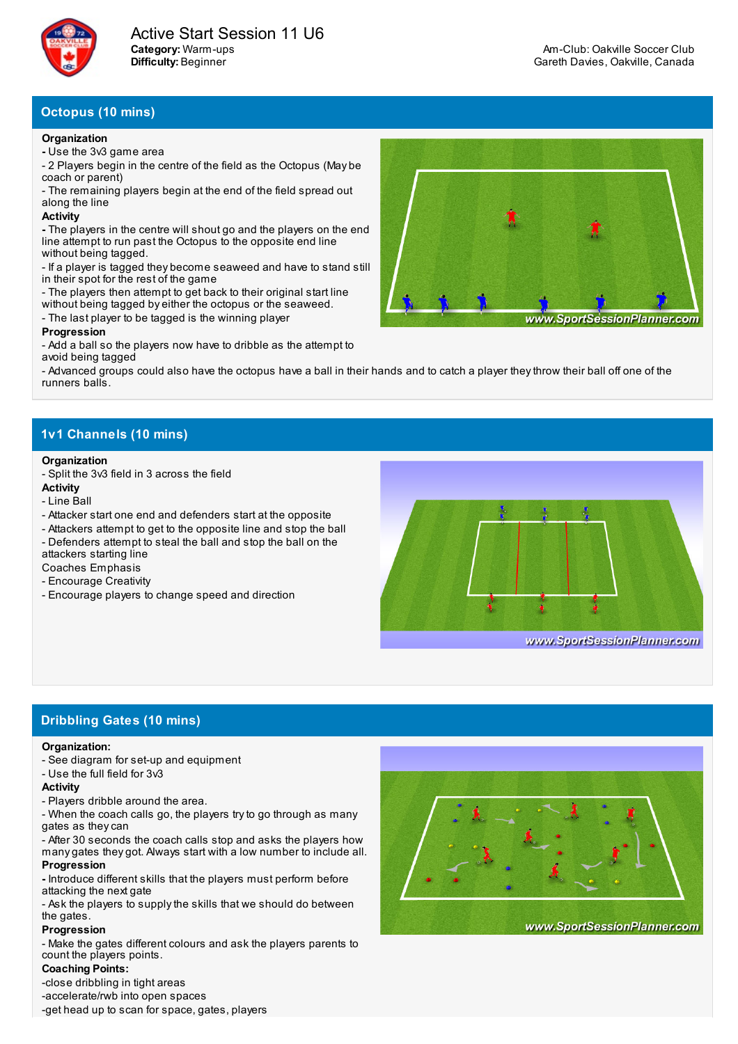

## **Octopus (10 mins)**

#### **Organization**

- **-** Use the 3v3 game area
- 2 Players begin in the centre of the field as the Octopus (May be coach or parent)

- The remaining players begin at the end of the field spread out along the line

### **Activity**

**-** The players in the centre will shout go and the players on the end line attempt to run past the Octopus to the opposite end line without being tagged.

- If a player is tagged they become seaweed and have to stand still in their spot for the rest of the game
- The players then attempt to get back to their original start line
- without being tagged by either the octopus or the seaweed.
- The last player to be tagged is the winning player

### **Progression**

- Add a ball so the players now have to dribble as the attempt to avoid being tagged

- Advanced groups could also have the octopus have a ball in their hands and to catch a player theythrow their ball off one of the runners balls.

# **1v1 Channels (10 mins)**

### **Organization**

- Split the 3v3 field in 3 across the field

### **Activity**

- Line Ball
- Attacker start one end and defenders start at the opposite
- Attackers attempt to get to the opposite line and stop the ball
- Defenders attempt to steal the ball and stop the ball on the attackers starting line
- Coaches Emphasis
- Encourage Creativity
- Encourage players to change speed and direction



# **Dribbling Gates (10 mins)**

#### **Organization:**

- See diagram for set-up and equipment
- Use the full field for 3v3

## **Activity**

- Players dribble around the area.
- When the coach calls go, the players tryto go through as many gates as theycan
- After 30 seconds the coach calls stop and asks the players how many gates they got. Always start with a low number to include all. **Progression**
- **-** Introduce different skills that the players must perform before attacking the next gate
- Ask the players to supplythe skills that we should do between the gates.

## **Progression**

- Make the gates different colours and ask the players parents to count the players points.

## **Coaching Points:**

-close dribbling in tight areas

-accelerate/rwb into open spaces

-get head up to scan for space, gates, players